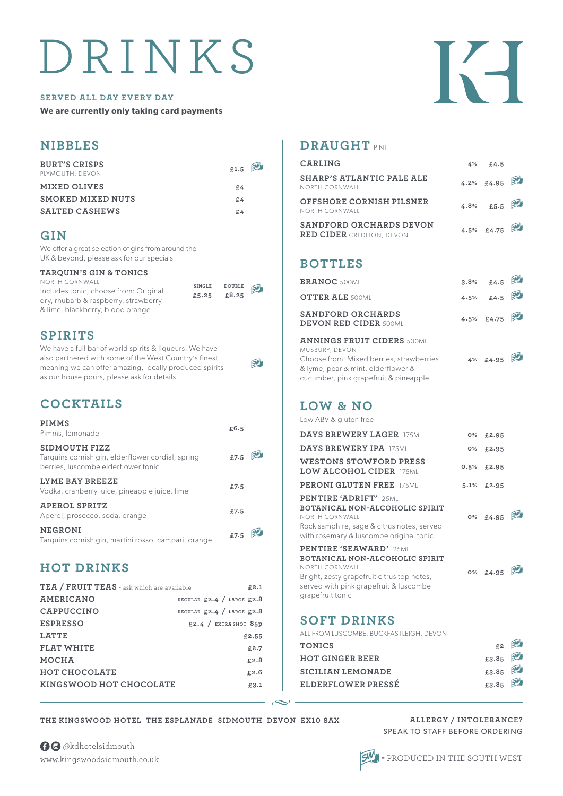# DRINKS

#### **SERVED ALL DAY EVERY DAY**

**We are currently only taking card payments**

| <b>BURT'S CRISPS</b><br>PLYMOUTH, DEVON | £1.5 $5^{\circ}$ |  |
|-----------------------------------------|------------------|--|
| <b>MIXED OLIVES</b>                     | £4               |  |
| <b>SMOKED MIXED NUTS</b>                | £4               |  |
| <b>SALTED CASHEWS</b>                   | £4               |  |

## **GIN**

**NIBBLES** 

We offer a great selection of gins from around the UK & beyond, please ask for our specials

#### **TARQUIN'S GIN & TONICS**

NORTH CORNWALL Includes tonic, choose from: Original dry, rhubarb & raspberry, strawberry & lime, blackberry, blood orange

| <b>DOUBLE</b> | <b>GW1</b> |
|---------------|------------|
| £8.25         |            |
|               |            |

SW

**SINGLE £5.25**

# **SPIRITS**

We have a full bar of world spirits & liqueurs. We have also partnered with some of the West Country's finest meaning we can offer amazing, locally produced spirits as our house pours, please ask for details

# **COCKTAILS**

| <b>PIMMS</b><br>Pimms, lemonade                                                                           | £6.5 |  |
|-----------------------------------------------------------------------------------------------------------|------|--|
| SIDMOUTH FIZZ<br>Tarquins cornish gin, elderflower cordial, spring<br>berries, luscombe elderflower tonic | £7.5 |  |
| LYME BAY BREEZE<br>Vodka, cranberry juice, pineapple juice, lime                                          | £7.5 |  |
| APEROL SPRITZ<br>Aperol, prosecco, soda, orange                                                           | £7.5 |  |
| <b>NEGRONI</b><br>Tarquins cornish gin, martini rosso, campari, orange                                    | £7.5 |  |

# **HOT DRINKS**

| TEA / FRUIT TEAS - ask which are available | £2.1                      |
|--------------------------------------------|---------------------------|
| <b>AMERICANO</b>                           | REGULAR £2.4 / LARGE £2.8 |
| CAPPUCCINO                                 | REGULAR £2.4 / LARGE £2.8 |
| <b>ESPRESSO</b>                            | £2.4 / EXTRA SHOT 85p     |
| <b>LATTE</b>                               | £2.55                     |
| <b>FLAT WHITE</b>                          | £2.7                      |
| MOCHA                                      | £2.8                      |
| <b>HOT CHOCOLATE</b>                       | £2.6                      |
| KINGSWOOD HOT CHOCOLATE                    | £3.1                      |

# **DRAUGHT** PINT

| CARLING                                                            | 4% £4.5                  |    |
|--------------------------------------------------------------------|--------------------------|----|
| SHARP'S ATLANTIC PALE ALE<br>NORTH CORNWALL                        | 4.2% £4.95               |    |
| OFFSHORE CORNISH PILSNER<br>NORTH CORNWALL                         | 4.8% £5.5                |    |
| SANDFORD ORCHARDS DEVON<br>$\bf{RED}$ $\bf{CIDER}$ crediton, devon | 4.5% £4.75               |    |
| <b>BOTTLES</b>                                                     |                          |    |
| <b>BRANOC 500ML</b>                                                |                          | SW |
| <b>OTTER ALE 500MI</b>                                             | $3.8%$ £4.5<br>4.5% £4.5 |    |
| SANDFORD ORCHARDS<br><b>DEVON RED CIDER 500MI</b>                  | 4.5% £4.75               |    |

#### **ANNINGS FRUIT CIDERS** 500ML MUSBURY, DEVON Choose from: Mixed berries, strawberries

& lyme, pear & mint, elderflower & cucumber, pink grapefruit & pineapple

# **LOW & NO**

Low ABV & gluten free

| <b>DAYS BREWERY LAGER 175MI</b>                                                                                                                                                                | 0%    | £2.95      |  |
|------------------------------------------------------------------------------------------------------------------------------------------------------------------------------------------------|-------|------------|--|
| <b>DAYS BREWERY IPA 175MI</b>                                                                                                                                                                  | $0\%$ | £2.95      |  |
| <b>WESTONS STOWFORD PRESS</b><br>LOW ALCOHOL CIDER 175ML                                                                                                                                       | 0.5%  | £2.95      |  |
| <b>PERONI GLUTEN FREE 175MI</b>                                                                                                                                                                |       | 5.1% £2.95 |  |
| <b>PENTIRE 'ADRIFT'</b> 25ML<br>BOTANICAL NON-ALCOHOLIC SPIRIT<br>NORTH CORNWALL<br>Rock samphire, sage & citrus notes, served<br>with rosemary & luscombe original tonic                      |       | 0% £4.95   |  |
| <b>PENTIRE 'SEAWARD' 25MIL</b><br>BOTANICAL NON-ALCOHOLIC SPIRIT<br>NORTH CORNWALL<br>Bright, zesty grapefruit citrus top notes,<br>served with pink grapefruit & luscombe<br>grapefruit tonic |       | 0% £4.95   |  |

# **SOFT DRINKS**

SW

| ALL FROM LUSCOMBE, BUCKFASTLEIGH, DEVON |                                 |  |
|-----------------------------------------|---------------------------------|--|
| <b>TONICS</b>                           | $rac{200}{200}$ $rac{200}{200}$ |  |
| <b>HOT GINGER BEER</b>                  |                                 |  |
| <b>SICILIAN LEMONADE</b>                | £3.85 5W                        |  |
| ELDERFLOWER PRESSÉ                      | £3.85 SM                        |  |

#### **THE KINGSWOOD HOTEL THE ESPLANADE SIDMOUTH DEVON EX10 8AX**

 $\bigoplus$  @kdhotelsidmouth www.kingswoodsidmouth.co.uk





**4% £4.95**